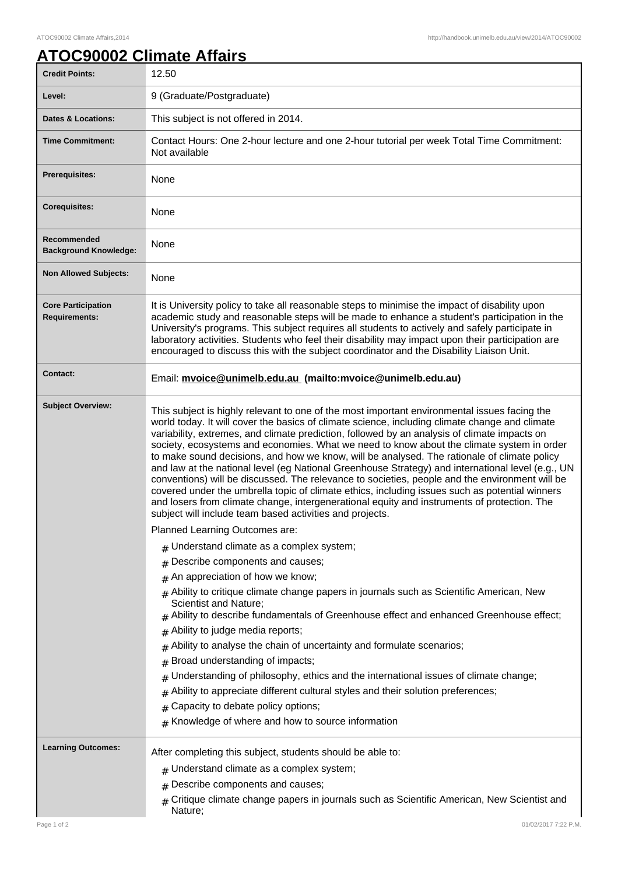## **ATOC90002 Climate Affairs**

| <b>Credit Points:</b>                             | 12.50                                                                                                                                                                                                                                                                                                                                                                                                                                                                                                                                                                                                                                                                                                                                                                                                                                                                                                                                                          |
|---------------------------------------------------|----------------------------------------------------------------------------------------------------------------------------------------------------------------------------------------------------------------------------------------------------------------------------------------------------------------------------------------------------------------------------------------------------------------------------------------------------------------------------------------------------------------------------------------------------------------------------------------------------------------------------------------------------------------------------------------------------------------------------------------------------------------------------------------------------------------------------------------------------------------------------------------------------------------------------------------------------------------|
| Level:                                            | 9 (Graduate/Postgraduate)                                                                                                                                                                                                                                                                                                                                                                                                                                                                                                                                                                                                                                                                                                                                                                                                                                                                                                                                      |
| <b>Dates &amp; Locations:</b>                     | This subject is not offered in 2014.                                                                                                                                                                                                                                                                                                                                                                                                                                                                                                                                                                                                                                                                                                                                                                                                                                                                                                                           |
| <b>Time Commitment:</b>                           | Contact Hours: One 2-hour lecture and one 2-hour tutorial per week Total Time Commitment:<br>Not available                                                                                                                                                                                                                                                                                                                                                                                                                                                                                                                                                                                                                                                                                                                                                                                                                                                     |
| Prerequisites:                                    | None                                                                                                                                                                                                                                                                                                                                                                                                                                                                                                                                                                                                                                                                                                                                                                                                                                                                                                                                                           |
| <b>Corequisites:</b>                              | None                                                                                                                                                                                                                                                                                                                                                                                                                                                                                                                                                                                                                                                                                                                                                                                                                                                                                                                                                           |
| Recommended<br><b>Background Knowledge:</b>       | None                                                                                                                                                                                                                                                                                                                                                                                                                                                                                                                                                                                                                                                                                                                                                                                                                                                                                                                                                           |
| <b>Non Allowed Subjects:</b>                      | None                                                                                                                                                                                                                                                                                                                                                                                                                                                                                                                                                                                                                                                                                                                                                                                                                                                                                                                                                           |
| <b>Core Participation</b><br><b>Requirements:</b> | It is University policy to take all reasonable steps to minimise the impact of disability upon<br>academic study and reasonable steps will be made to enhance a student's participation in the<br>University's programs. This subject requires all students to actively and safely participate in<br>laboratory activities. Students who feel their disability may impact upon their participation are<br>encouraged to discuss this with the subject coordinator and the Disability Liaison Unit.                                                                                                                                                                                                                                                                                                                                                                                                                                                             |
| Contact:                                          | Email: mvoice@unimelb.edu.au (mailto:mvoice@unimelb.edu.au)                                                                                                                                                                                                                                                                                                                                                                                                                                                                                                                                                                                                                                                                                                                                                                                                                                                                                                    |
| <b>Subject Overview:</b>                          | This subject is highly relevant to one of the most important environmental issues facing the<br>world today. It will cover the basics of climate science, including climate change and climate<br>variability, extremes, and climate prediction, followed by an analysis of climate impacts on<br>society, ecosystems and economies. What we need to know about the climate system in order<br>to make sound decisions, and how we know, will be analysed. The rationale of climate policy<br>and law at the national level (eg National Greenhouse Strategy) and international level (e.g., UN<br>conventions) will be discussed. The relevance to societies, people and the environment will be<br>covered under the umbrella topic of climate ethics, including issues such as potential winners<br>and losers from climate change, intergenerational equity and instruments of protection. The<br>subject will include team based activities and projects. |
|                                                   | Planned Learning Outcomes are:                                                                                                                                                                                                                                                                                                                                                                                                                                                                                                                                                                                                                                                                                                                                                                                                                                                                                                                                 |
|                                                   | $#$ Understand climate as a complex system;                                                                                                                                                                                                                                                                                                                                                                                                                                                                                                                                                                                                                                                                                                                                                                                                                                                                                                                    |
|                                                   | Describe components and causes;<br>#                                                                                                                                                                                                                                                                                                                                                                                                                                                                                                                                                                                                                                                                                                                                                                                                                                                                                                                           |
|                                                   | An appreciation of how we know;                                                                                                                                                                                                                                                                                                                                                                                                                                                                                                                                                                                                                                                                                                                                                                                                                                                                                                                                |
|                                                   | Ability to critique climate change papers in journals such as Scientific American, New<br>Scientist and Nature;<br>Ability to describe fundamentals of Greenhouse effect and enhanced Greenhouse effect;                                                                                                                                                                                                                                                                                                                                                                                                                                                                                                                                                                                                                                                                                                                                                       |
|                                                   | Ability to judge media reports;                                                                                                                                                                                                                                                                                                                                                                                                                                                                                                                                                                                                                                                                                                                                                                                                                                                                                                                                |
|                                                   | Ability to analyse the chain of uncertainty and formulate scenarios;                                                                                                                                                                                                                                                                                                                                                                                                                                                                                                                                                                                                                                                                                                                                                                                                                                                                                           |
|                                                   | Broad understanding of impacts;<br>#                                                                                                                                                                                                                                                                                                                                                                                                                                                                                                                                                                                                                                                                                                                                                                                                                                                                                                                           |
|                                                   | Understanding of philosophy, ethics and the international issues of climate change;                                                                                                                                                                                                                                                                                                                                                                                                                                                                                                                                                                                                                                                                                                                                                                                                                                                                            |
|                                                   | Ability to appreciate different cultural styles and their solution preferences;<br>Capacity to debate policy options;                                                                                                                                                                                                                                                                                                                                                                                                                                                                                                                                                                                                                                                                                                                                                                                                                                          |
|                                                   | Knowledge of where and how to source information<br>#                                                                                                                                                                                                                                                                                                                                                                                                                                                                                                                                                                                                                                                                                                                                                                                                                                                                                                          |
| <b>Learning Outcomes:</b>                         | After completing this subject, students should be able to:<br>$#$ Understand climate as a complex system;<br>Describe components and causes;<br>#<br>Critique climate change papers in journals such as Scientific American, New Scientist and<br>#                                                                                                                                                                                                                                                                                                                                                                                                                                                                                                                                                                                                                                                                                                            |
|                                                   | Nature;                                                                                                                                                                                                                                                                                                                                                                                                                                                                                                                                                                                                                                                                                                                                                                                                                                                                                                                                                        |